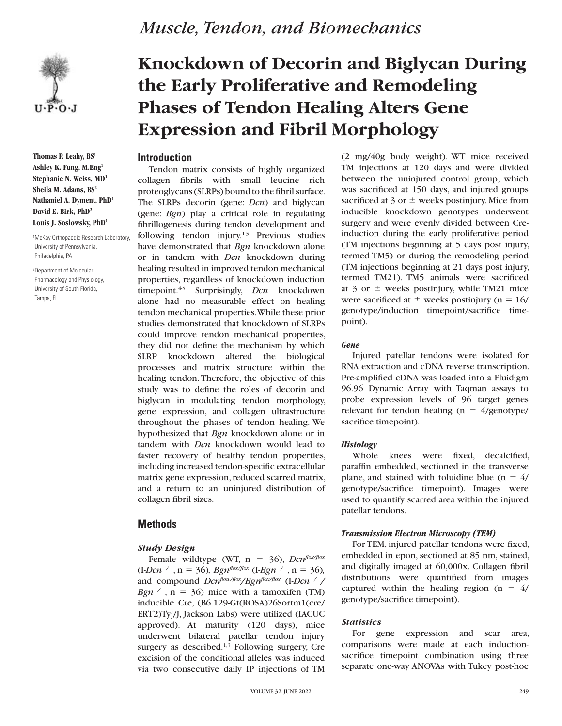

**Thomas P. Leahy, BS1 Ashley K. Fung, M.Eng1 Stephanie N. Weiss, MD1 Sheila M. Adams, BS2 Nathaniel A. Dyment, PhD1 David E. Birk, PhD2 Louis J. Soslowsky, PhD1**

1 McKay Orthopaedic Research Laboratory, University of Pennsylvania, Philadelphia, PA

2 Department of Molecular Pharmacology and Physiology, University of South Florida, Tampa, FL

# **Knockdown of Decorin and Biglycan During the Early Proliferative and Remodeling Phases of Tendon Healing Alters Gene Expression and Fibril Morphology**

# **Introduction**

Tendon matrix consists of highly organized collagen fibrils with small leucine rich proteoglycans (SLRPs) bound to the fibril surface. The SLRPs decorin (gene: *Dcn*) and biglycan (gene: *Bgn*) play a critical role in regulating fibrillogenesis during tendon development and following tendon injury.1-3 Previous studies have demonstrated that *Bgn* knockdown alone or in tandem with *Dcn* knockdown during healing resulted in improved tendon mechanical properties, regardless of knockdown induction timepoint.<sup>45</sup> Surprisingly, *Dcn* knockdown alone had no measurable effect on healing tendon mechanical properties. While these prior studies demonstrated that knockdown of SLRPs could improve tendon mechanical properties, they did not define the mechanism by which SLRP knockdown altered the biological processes and matrix structure within the healing tendon. Therefore, the objective of this study was to define the roles of decorin and biglycan in modulating tendon morphology, gene expression, and collagen ultrastructure throughout the phases of tendon healing. We hypothesized that *Bgn* knockdown alone or in tandem with *Dcn* knockdown would lead to faster recovery of healthy tendon properties, including increased tendon-specific extracellular matrix gene expression, reduced scarred matrix, and a return to an uninjured distribution of collagen fibril sizes.

# **Methods**

# *Study Design*

Female wildtype (WT,  $n = 36$ ), *Dcn*<sup>flox/flox</sup>  $(I-Dcn^{-/2}, n = 36)$ *, Bgn<sup>flox/flox</sup>*  $(I-Bgn^{-/2}, n = 36)$ *,* and compound  $Dcn^{flow/flox}/Bgn^{flow/flox}$  (I- $Dcn^{-/-}/$ *Bgn<sup>-/-</sup>*, n = 36) mice with a tamoxifen (TM) inducible Cre, (B6.129-Gt(ROSA)26Sortm1(cre/ ERT2)Tyj/J, Jackson Labs) were utilized (IACUC approved). At maturity (120 days), mice underwent bilateral patellar tendon injury surgery as described. $1,3$  Following surgery, Cre excision of the conditional alleles was induced via two consecutive daily IP injections of TM (2 mg/40g body weight). WT mice received TM injections at 120 days and were divided between the uninjured control group, which was sacrificed at 150 days, and injured groups sacrificed at 3 or  $\pm$  weeks postinjury. Mice from inducible knockdown genotypes underwent surgery and were evenly divided between Creinduction during the early proliferative period (TM injections beginning at 5 days post injury, termed TM5) or during the remodeling period (TM injections beginning at 21 days post injury, termed TM21). TM5 animals were sacrificed at 3 or  $\pm$  weeks postinjury, while TM21 mice were sacrificed at  $\pm$  weeks postinjury (n = 16/ genotype/induction timepoint/sacrifice timepoint).

#### *Gene*

Injured patellar tendons were isolated for RNA extraction and cDNA reverse transcription. Pre-amplified cDNA was loaded into a Fluidigm 96.96 Dynamic Array with Taqman assays to probe expression levels of 96 target genes relevant for tendon healing ( $n = 4$ /genotype/ sacrifice timepoint).

#### *Histology*

Whole knees were fixed, decalcified, paraffin embedded, sectioned in the transverse plane, and stained with toluidine blue ( $n = 4/$ genotype/sacrifice timepoint). Images were used to quantify scarred area within the injured patellar tendons.

#### *Transmission Electron Microscopy (TEM)*

For TEM, injured patellar tendons were fixed, embedded in epon, sectioned at 85 nm, stained, and digitally imaged at 60,000x. Collagen fibril distributions were quantified from images captured within the healing region ( $n = 4/$ genotype/sacrifice timepoint).

#### *Statistics*

For gene expression and scar area, comparisons were made at each inductionsacrifice timepoint combination using three separate one-way ANOVAs with Tukey post-hoc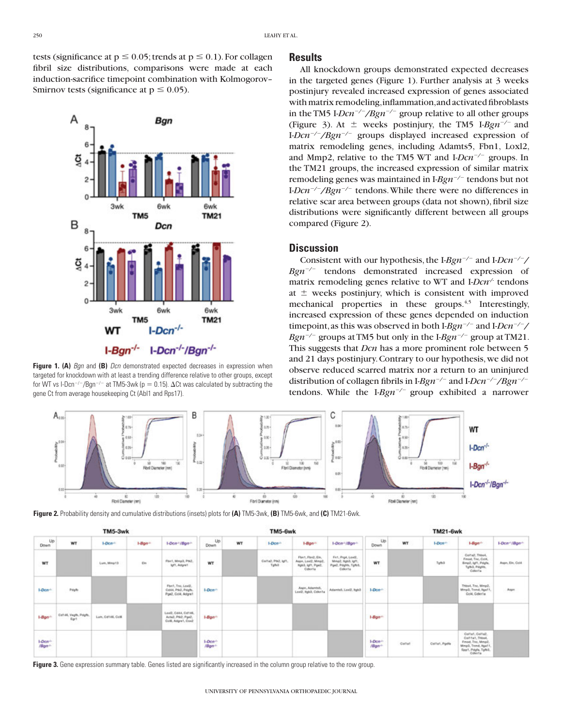tests (significance at  $p \le 0.05$ ; trends at  $p \le 0.1$ ). For collagen fibril size distributions, comparisons were made at each induction-sacrifice timepoint combination with Kolmogorov– Smirnov tests (significance at  $p \le 0.05$ ).



**Figure 1. (A)** *Ban* and **(B)** *Dcn* demonstrated expected decreases in expression when targeted for knockdown with at least a trending difference relative to other groups, except for WT vs I-Dcn<sup>-/-</sup>/Bgn<sup>-/-</sup> at TM5-3wk (p = 0.15).  $\Delta$ Ct was calculated by subtracting the gene Ct from average housekeeping Ct (Abl1 and Rps17).

#### **Results**

All knockdown groups demonstrated expected decreases in the targeted genes (Figure 1). Further analysis at 3 weeks postinjury revealed increased expression of genes associated with matrix remodeling, inflammation, and activated fibroblasts in the TM5 I-*Dcn<sup>-/-</sup>/Bgn<sup>-/-</sup>* group relative to all other groups (Figure 3). At  $\pm$  weeks postinjury, the TM5 I-*Bgn<sup>-/-</sup>* and I-*Dcn<sup>-/-</sup>/Bgn<sup>-/-</sup>* groups displayed increased expression of matrix remodeling genes, including Adamts5, Fbn1, Loxl2, and Mmp2, relative to the TM5 WT and I-*Dcn<sup>-/-</sup>* groups. In the TM21 groups, the increased expression of similar matrix remodeling genes was maintained in I-*Bgn<sup>-/-</sup>* tendons but not I-*Dcn<sup>-/-</sup>/Bgn<sup>-/-</sup>* tendons. While there were no differences in relative scar area between groups (data not shown), fibril size distributions were significantly different between all groups compared (Figure 2).

#### **Discussion**

Consistent with our hypothesis, the I-*Bgn<sup>-/-</sup>* and I-*Dcn<sup>-/-</sup>*/ *Bgn<sup>-/-</sup>* tendons demonstrated increased expression of matrix remodeling genes relative to WT and I-*Dcn<sup>-/-</sup>* tendons at  $\pm$  weeks postinjury, which is consistent with improved mechanical properties in these groups.<sup>4,5</sup> Interestingly, increased expression of these genes depended on induction timepoint, as this was observed in both I-*Bgn<sup>-/-</sup>* and I-*Dcn<sup>-/-</sup>*/ *Bgn<sup>-/-</sup>* groups at TM5 but only in the I-*Bgn<sup>-/-</sup>* group at TM21. This suggests that *Dcn* has a more prominent role between 5 and 21 days postinjury. Contrary to our hypothesis, we did not observe reduced scarred matrix nor a return to an uninjured distribution of collagen fibrils in  $I-Bgn^{-/-}$  and  $I-Dcn^{-/-}/Bgn^{-/-}$ tendons. While the  $I-Bgn^{-/-}$  group exhibited a narrower



**Figure 2.** Probability density and cumulative distributions (insets) plots for **(A)** TM5-3wk, **(B)** TM5-6wk, and **(C)** TM21-6wk.

| TM5-3wk                                 |                                            |                  |                           |                                                                  | TM5-6wk                       |    |                                            |                                                                         |                                                                         | <b>TM21-6wk</b>               |        |                |                                                                                                                 |                                       |
|-----------------------------------------|--------------------------------------------|------------------|---------------------------|------------------------------------------------------------------|-------------------------------|----|--------------------------------------------|-------------------------------------------------------------------------|-------------------------------------------------------------------------|-------------------------------|--------|----------------|-----------------------------------------------------------------------------------------------------------------|---------------------------------------|
| Up<br>Down                              | WT                                         | 1-Dow-           | $1 - B$ gn <sup>.11</sup> | 1-Don-VBpn-                                                      | Up<br>Down                    | WT | 1-Dow-                                     | $1-Bqn^{-1}$                                                            | I-Don-VBpn-                                                             | Up<br><b>Down</b>             | WT     | $L$ Don-       | $1-8$ gn <sup>+</sup>                                                                                           | I-Don <sup>-/</sup> /Bgm <sup>2</sup> |
| WT                                      |                                            | Lux, Ming 13     | <b>Do</b>                 | Flort, Meg3, PN2.<br>loft, Adgret                                | WT                            |    | <b>MAG</b><br>Coltaž, PIkž, Igft.<br>Taltd | Flett, Fledt, Ele.<br>Aspn, Loxi2, Mmp2.<br>Hph3. lpf1, Pps2.<br>Counta | Fe1, Pep4, LonD.<br>Mmp2, hph3, lpf1,<br>Poe2, Pages, Tylk3.<br>ColorTa | WT                            |        | Tofolk         | Collad, Thees,<br>Fmod, Tric, Cold.<br>Bred. Ight, Popta.<br>Tg/b3, Payto,<br>ColorTa                           | Aspn, Eln, Col4                       |
| $1-Dom+$                                | Pópfo.                                     |                  |                           | Fbnf, Tnc, Loxi2.<br>Cold, Ph2, Pdgfs.<br>Pge2, Ccl4, Adgre1     | 1-Dom <sup>2</sup>            |    |                                            | Aspn, Adamts5.<br>Lexi2, Itgb3, Cdkn1a                                  | Adamts5, Loui2, hpb3                                                    | $1-Decen-$                    |        |                | Thosa, Tnc, Mmp2.<br>Mmp3, Trund, Itga11,<br>Gold, Colenta<br>・システム                                             | Aspn                                  |
| $1-Ban^{-1}$                            | Cd146, Vegfb, Pdgfb,<br>Eart<br><b>COL</b> | Lum, Od146, CclB |                           | LoxB. Coll4, Cd146.<br>Actaž, PIkž, Pgež,<br>Colli, Adgret, Cox2 | $1 - 8$ on <sup>2</sup>       |    |                                            |                                                                         |                                                                         | $1 - B \rho n^{-1}$           |        |                |                                                                                                                 |                                       |
| 1-Dom <sup>2</sup><br>/Bgm <sup>2</sup> |                                            |                  |                           |                                                                  | 1-Dom <sup>-1</sup><br>/Bgm-1 |    |                                            |                                                                         |                                                                         | $1-ORm-$<br>/Bgm <sup>+</sup> | Collat | Collar, Polite | Collat, CollaZ.<br>Colt1at, Thbs4.<br>Fmod, Tnc, Mmp2,<br>Mmp3, Trund, Hga11.<br>Spp1, Pdgfs, Tgfb3.<br>Colenta |                                       |

Figure 3. Gene expression summary table. Genes listed are significantly increased in the column group relative to the row group.